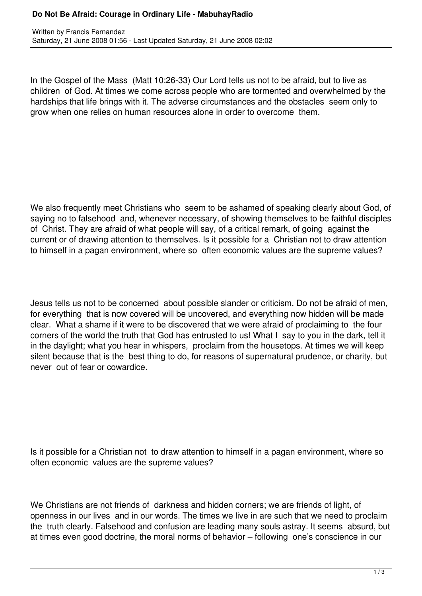## **Do Not Be Afraid: Courage in Ordinary Life - MabuhayRadio**

In the Gospel of the Mass (Matt 10:26-33) Our Lord tells us not to be afraid, but to live as children of God. At times we come across people who are tormented and overwhelmed by the hardships that life brings with it. The adverse circumstances and the obstacles seem only to grow when one relies on human resources alone in order to overcome them.

We also frequently meet Christians who seem to be ashamed of speaking clearly about God, of saying no to falsehood and, whenever necessary, of showing themselves to be faithful disciples of Christ. They are afraid of what people will say, of a critical remark, of going against the current or of drawing attention to themselves. Is it possible for a Christian not to draw attention to himself in a pagan environment, where so often economic values are the supreme values?

Jesus tells us not to be concerned about possible slander or criticism. Do not be afraid of men, for everything that is now covered will be uncovered, and everything now hidden will be made clear. What a shame if it were to be discovered that we were afraid of proclaiming to the four corners of the world the truth that God has entrusted to us! What I say to you in the dark, tell it in the daylight; what you hear in whispers, proclaim from the housetops. At times we will keep silent because that is the best thing to do, for reasons of supernatural prudence, or charity, but never out of fear or cowardice.

Is it possible for a Christian not to draw attention to himself in a pagan environment, where so often economic values are the supreme values?

We Christians are not friends of darkness and hidden corners; we are friends of light, of openness in our lives and in our words. The times we live in are such that we need to proclaim the truth clearly. Falsehood and confusion are leading many souls astray. It seems absurd, but at times even good doctrine, the moral norms of behavior – following one's conscience in our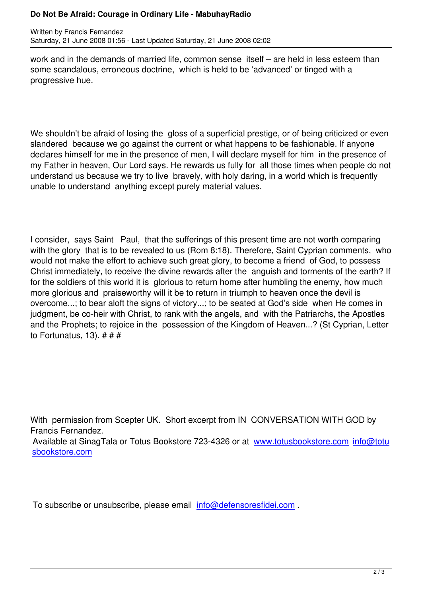Written by Francis Fernandez by Francis Fernandez by Francis Fernandez by Francis Fernandez by Francis Fernand

work and in the demands of married life, common sense itself – are held in less esteem than some scandalous, erroneous doctrine, which is held to be 'advanced' or tinged with a progressive hue.

We shouldn't be afraid of losing the gloss of a superficial prestige, or of being criticized or even slandered because we go against the current or what happens to be fashionable. If anyone declares himself for me in the presence of men, I will declare myself for him in the presence of my Father in heaven, Our Lord says. He rewards us fully for all those times when people do not understand us because we try to live bravely, with holy daring, in a world which is frequently unable to understand anything except purely material values.

I consider, says Saint Paul, that the sufferings of this present time are not worth comparing with the glory that is to be revealed to us (Rom 8:18). Therefore, Saint Cyprian comments, who would not make the effort to achieve such great glory, to become a friend of God, to possess Christ immediately, to receive the divine rewards after the anguish and torments of the earth? If for the soldiers of this world it is glorious to return home after humbling the enemy, how much more glorious and praiseworthy will it be to return in triumph to heaven once the devil is overcome...; to bear aloft the signs of victory...; to be seated at God's side when He comes in judgment, be co-heir with Christ, to rank with the angels, and with the Patriarchs, the Apostles and the Prophets; to rejoice in the possession of the Kingdom of Heaven...? (St Cyprian, Letter to Fortunatus, 13).  $# # #$ 

With permission from Scepter UK. Short excerpt from IN CONVERSATION WITH GOD by Francis Fernandez.

Available at SinagTala or Totus Bookstore 723-4326 or at www.totusbookstore.com info@totu sbookstore.com

To subscribe or unsubscribe, please email info@defensoresfidei.com .